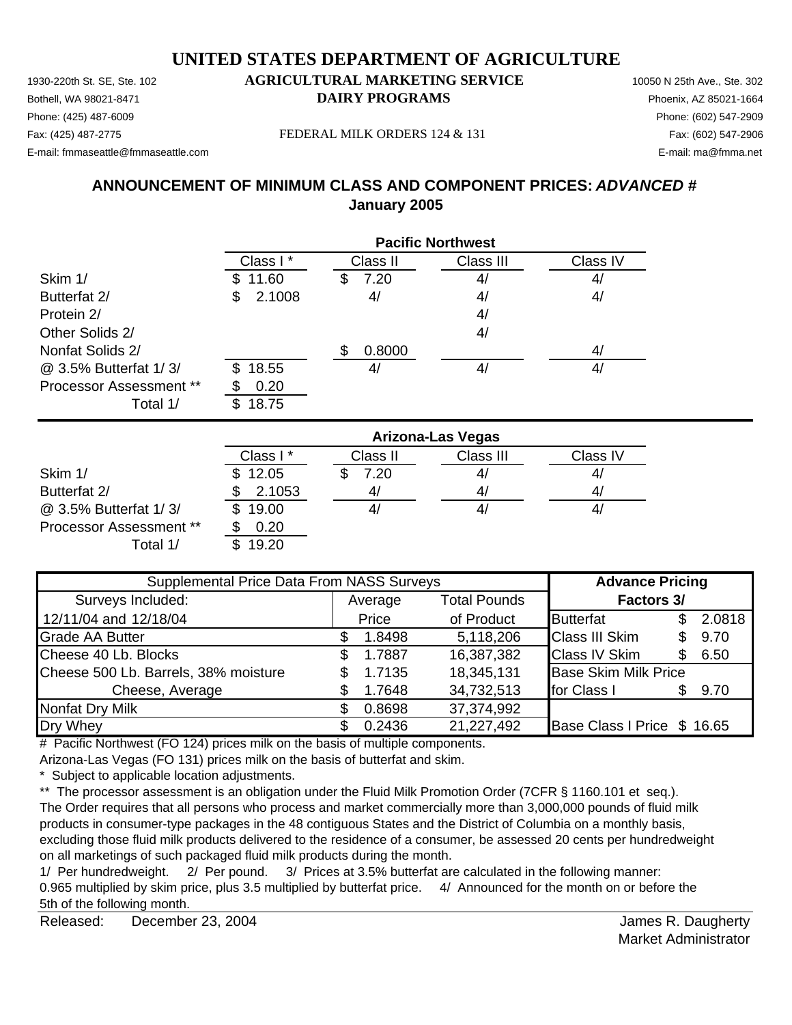1930-220th St. SE, Ste. 102 **AGRICULTURAL MARKETING SERVICE** 10050 N 25th Ave., Ste. 302 Bothell, WA 98021-8471 **DAIRY PROGRAMS** Phoenix, AZ 85021-1664

# Phone: (425) 487-6009 Phone: (602) 547-2909

E-mail: fmmaseattle@fmmaseattle.com E-mail: ma@fmma.net

Fax: (425) 487-2775 Fax: (602) 547-2906 FEDERAL MILK ORDERS 124 & 131

# **ANNOUNCEMENT OF MINIMUM CLASS AND COMPONENT PRICES:** *ADVANCED #* **January 2005**

|                                | <b>Pacific Northwest</b> |           |           |          |  |
|--------------------------------|--------------------------|-----------|-----------|----------|--|
|                                | Class I*                 | Class II  | Class III | Class IV |  |
| Skim 1/                        | 11.60                    | 7.20<br>S | 4/        | 4/       |  |
| Butterfat 2/                   | 2.1008<br>\$             | 4/        | 4/        | 4/       |  |
| Protein 2/                     |                          |           | 4/        |          |  |
| Other Solids 2/                |                          |           | 4/        |          |  |
| Nonfat Solids 2/               |                          | 0.8000    |           | 4/       |  |
| @ 3.5% Butterfat 1/3/          | 18.55<br>\$.             | 4         | 4/        | 4/       |  |
| <b>Processor Assessment **</b> | 0.20                     |           |           |          |  |
| Total 1/                       | 18.75                    |           |           |          |  |

|                                | <b>Arizona-Las Vegas</b> |          |           |          |  |
|--------------------------------|--------------------------|----------|-----------|----------|--|
|                                | Class I*                 | Class II | Class III | Class IV |  |
| Skim 1/                        | \$12.05                  | 7.20     | 41        | 4/       |  |
| Butterfat 2/                   | 2.1053                   | 4        | 4/        | 4/       |  |
| @ 3.5% Butterfat 1/3/          | 19.00                    | 41       | 4,        | 41       |  |
| <b>Processor Assessment **</b> | 0.20                     |          |           |          |  |
| Total 1/                       | 19.20                    |          |           |          |  |

| Supplemental Price Data From NASS Surveys |         |        |                     | <b>Advance Pricing</b>      |     |        |
|-------------------------------------------|---------|--------|---------------------|-----------------------------|-----|--------|
| Surveys Included:                         | Average |        | <b>Total Pounds</b> | <b>Factors 3/</b>           |     |        |
| 12/11/04 and 12/18/04                     |         | Price  | of Product          | <b>Butterfat</b>            | \$. | 2.0818 |
| <b>Grade AA Butter</b>                    |         | 1.8498 | 5,118,206           | <b>Class III Skim</b>       |     | 9.70   |
| Cheese 40 Lb. Blocks                      | S.      | 1.7887 | 16,387,382          | <b>Class IV Skim</b>        | \$. | 6.50   |
| Cheese 500 Lb. Barrels, 38% moisture      |         | 1.7135 | 18,345,131          | <b>Base Skim Milk Price</b> |     |        |
| Cheese, Average                           |         | 1.7648 | 34,732,513          | for Class I                 |     | 9.70   |
| <b>Nonfat Dry Milk</b>                    |         | 0.8698 | 37,374,992          |                             |     |        |
| Dry Whey                                  |         | 0.2436 | 21,227,492          | Base Class I Price \$ 16.65 |     |        |

# Pacific Northwest (FO 124) prices milk on the basis of multiple components.

Arizona-Las Vegas (FO 131) prices milk on the basis of butterfat and skim.

\* Subject to applicable location adjustments.

\*\* The processor assessment is an obligation under the Fluid Milk Promotion Order (7CFR § 1160.101 et seq.). The Order requires that all persons who process and market commercially more than 3,000,000 pounds of fluid milk products in consumer-type packages in the 48 contiguous States and the District of Columbia on a monthly basis, excluding those fluid milk products delivered to the residence of a consumer, be assessed 20 cents per hundredweight on all marketings of such packaged fluid milk products during the month.

1/ Per hundredweight. 2/ Per pound. 3/ Prices at 3.5% butterfat are calculated in the following manner: 0.965 multiplied by skim price, plus 3.5 multiplied by butterfat price. 4/ Announced for the month on or before the 5th of the following month.

Released: December 23, 2004 **Contract Contract Contract Contract Contract Contract Contract Contract Contract Contract Contract Contract Contract Contract Contract Contract Contract Contract Contract Contract Contract Cont** December 23, 2004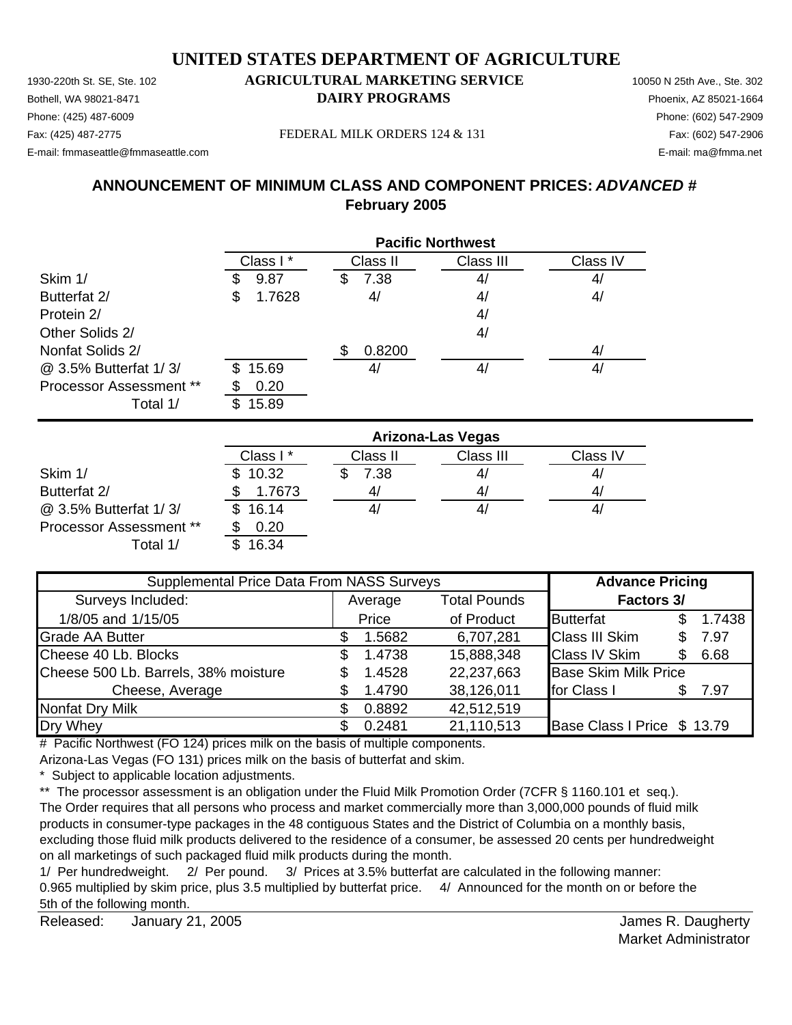Bothell, WA 98021-8471 **DAIRY PROGRAMS** Phoenix, AZ 85021-1664 Phone: (425) 487-6009 Phone: (602) 547-2909

### Fax: (425) 487-2775 Fax: (602) 547-2906 FEDERAL MILK ORDERS 124 & 131

E-mail: fmmaseattle@fmmaseattle.com E-mail: ma@fmma.net

# **ANNOUNCEMENT OF MINIMUM CLASS AND COMPONENT PRICES:** *ADVANCED #* **February 2005**

|                                |              | <b>Pacific Northwest</b> |           |          |  |  |  |
|--------------------------------|--------------|--------------------------|-----------|----------|--|--|--|
|                                | Class I*     | Class II                 | Class III | Class IV |  |  |  |
| Skim 1/                        | 9.87         | 7.38<br>\$               | 4/        | 4/       |  |  |  |
| Butterfat 2/                   | 1.7628<br>S  | 4/                       | 4/        | 4/       |  |  |  |
| Protein 2/                     |              |                          | 4/        |          |  |  |  |
| Other Solids 2/                |              |                          | 4/        |          |  |  |  |
| Nonfat Solids 2/               |              | 0.8200<br>\$.            |           | 4/       |  |  |  |
| @ 3.5% Butterfat 1/3/          | 15.69<br>\$. | 41                       | 4/        | 4/       |  |  |  |
| <b>Processor Assessment **</b> | 0.20         |                          |           |          |  |  |  |
| Total 1/                       | 15.89        |                          |           |          |  |  |  |

|                                | <b>Arizona-Las Vegas</b> |          |           |          |  |
|--------------------------------|--------------------------|----------|-----------|----------|--|
|                                | Class I*                 | Class II | Class III | Class IV |  |
| Skim 1/                        | \$10.32                  | 7.38     | 41        | 4/       |  |
| Butterfat 2/                   | 1.7673                   | 4,       | 4/        | 4,       |  |
| @ 3.5% Butterfat 1/3/          | \$16.14                  |          | 4,        | 41       |  |
| <b>Processor Assessment **</b> | 0.20                     |          |           |          |  |
| Total 1/                       | 16.34                    |          |           |          |  |

| Supplemental Price Data From NASS Surveys |         |        |                     | <b>Advance Pricing</b>      |     |        |
|-------------------------------------------|---------|--------|---------------------|-----------------------------|-----|--------|
| Surveys Included:                         | Average |        | <b>Total Pounds</b> | <b>Factors 3/</b>           |     |        |
| 1/8/05 and 1/15/05                        |         | Price  | of Product          | <b>Butterfat</b>            | \$. | 1.7438 |
| <b>Grade AA Butter</b>                    |         | 1.5682 | 6,707,281           | <b>Class III Skim</b>       |     | 7.97   |
| Cheese 40 Lb. Blocks                      | S.      | 1.4738 | 15,888,348          | <b>Class IV Skim</b>        | \$. | 6.68   |
| Cheese 500 Lb. Barrels, 38% moisture      |         | 1.4528 | 22,237,663          | <b>Base Skim Milk Price</b> |     |        |
| Cheese, Average                           |         | 1.4790 | 38,126,011          | for Class I                 |     | 7.97   |
| <b>Nonfat Dry Milk</b>                    |         | 0.8892 | 42,512,519          |                             |     |        |
| Dry Whey                                  |         | 0.2481 | 21,110,513          | Base Class I Price \$ 13.79 |     |        |

# Pacific Northwest (FO 124) prices milk on the basis of multiple components.

Arizona-Las Vegas (FO 131) prices milk on the basis of butterfat and skim.

\* Subject to applicable location adjustments.

\*\* The processor assessment is an obligation under the Fluid Milk Promotion Order (7CFR § 1160.101 et seq.). The Order requires that all persons who process and market commercially more than 3,000,000 pounds of fluid milk products in consumer-type packages in the 48 contiguous States and the District of Columbia on a monthly basis, excluding those fluid milk products delivered to the residence of a consumer, be assessed 20 cents per hundredweight on all marketings of such packaged fluid milk products during the month.

1/ Per hundredweight. 2/ Per pound. 3/ Prices at 3.5% butterfat are calculated in the following manner: 0.965 multiplied by skim price, plus 3.5 multiplied by butterfat price. 4/ Announced for the month on or before the 5th of the following month.

Released: James R. Daugherty January 21, 2005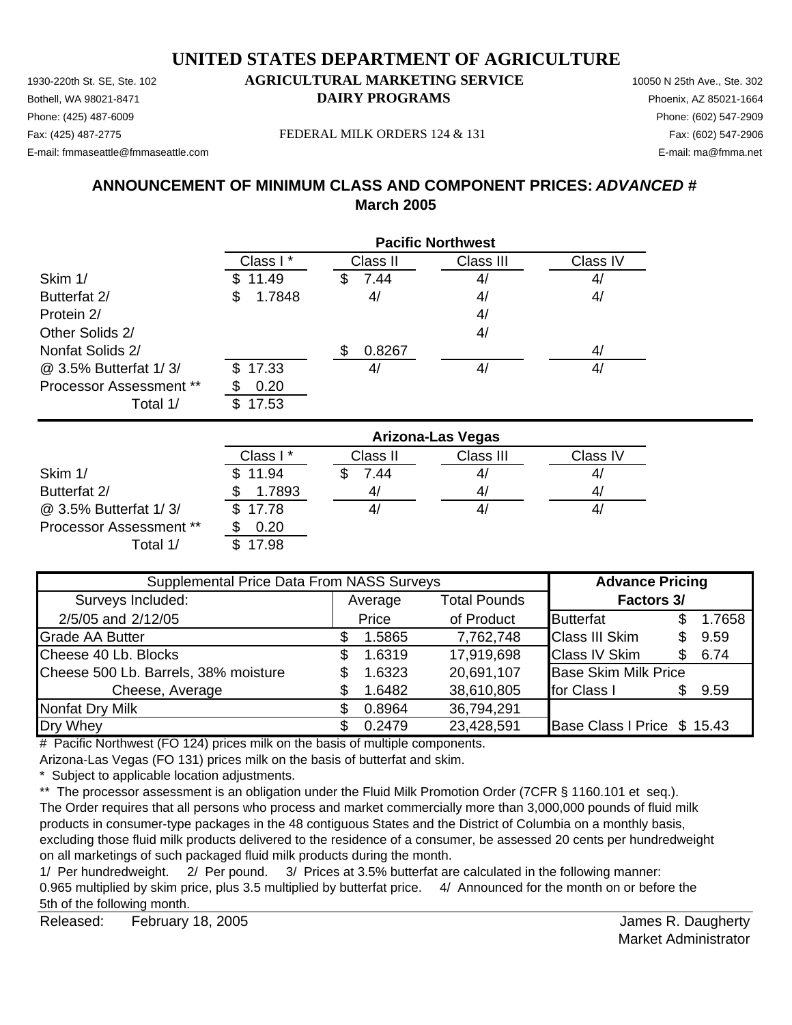Bothell, WA 98021-8471 **DAIRY PROGRAMS** Phoenix, AZ 85021-1664 Phone: (425) 487-6009 Phone: (602) 547-2909 Fax: (425) 487-2775 Fax: (602) 547-2906 FEDERAL MILK ORDERS 124 & 131

E-mail: fmmaseattle@fmmaseattle.com E-mail: ma@fmma.net

# **ANNOUNCEMENT OF MINIMUM CLASS AND COMPONENT PRICES:** *ADVANCED #*

**March 2005**

|                         | <b>Pacific Northwest</b> |           |           |          |  |
|-------------------------|--------------------------|-----------|-----------|----------|--|
|                         | Class I*                 | Class II  | Class III | Class IV |  |
| Skim 1/                 | \$11.49                  | 7.44<br>S | 4/        | 4/       |  |
| Butterfat 2/            | 1.7848<br>\$             | 4/        | 4/        | 4/       |  |
| Protein 2/              |                          |           | 4/        |          |  |
| Other Solids 2/         |                          |           | 4/        |          |  |
| Nonfat Solids 2/        |                          | 0.8267    |           | 41       |  |
| @ 3.5% Butterfat 1/3/   | \$17.33                  | 4/        | 41        | 41       |  |
| Processor Assessment ** | 0.20                     |           |           |          |  |
| Total 1/                | 17.53<br>\$.             |           |           |          |  |

|                                | <b>Arizona-Las Vegas</b> |          |           |          |  |
|--------------------------------|--------------------------|----------|-----------|----------|--|
|                                | Class I*                 | Class II | Class III | Class IV |  |
| Skim 1/                        | \$11.94                  | 7.44     | 4/        | 41       |  |
| Butterfat 2/                   | 1.7893                   |          | 4/        | 41       |  |
| @ 3.5% Butterfat 1/3/          | \$17.78                  |          | 41        | 41       |  |
| <b>Processor Assessment **</b> | 0.20                     |          |           |          |  |
| Total 1/                       | 17.98                    |          |           |          |  |

| Supplemental Price Data From NASS Surveys |    |         |                     | <b>Advance Pricing</b>      |     |        |
|-------------------------------------------|----|---------|---------------------|-----------------------------|-----|--------|
| Surveys Included:                         |    | Average | <b>Total Pounds</b> | <b>Factors 3/</b>           |     |        |
| 2/5/05 and 2/12/05                        |    | Price   | of Product          | <b>Butterfat</b>            |     | 1.7658 |
| <b>Grade AA Butter</b>                    |    | 1.5865  | 7,762,748           | <b>Class III Skim</b>       | \$. | 9.59   |
| Cheese 40 Lb. Blocks                      | \$ | 1.6319  | 17,919,698          | <b>Class IV Skim</b>        | \$. | 6.74   |
| Cheese 500 Lb. Barrels, 38% moisture      |    | 1.6323  | 20,691,107          | <b>Base Skim Milk Price</b> |     |        |
| Cheese, Average                           |    | 1.6482  | 38,610,805          | for Class I                 |     | 9.59   |
| <b>Nonfat Dry Milk</b>                    |    | 0.8964  | 36,794,291          |                             |     |        |
| Dry Whey                                  |    | 0.2479  | 23,428,591          | Base Class I Price \$ 15.43 |     |        |

# Pacific Northwest (FO 124) prices milk on the basis of multiple components.

Arizona-Las Vegas (FO 131) prices milk on the basis of butterfat and skim.

\* Subject to applicable location adjustments.

\*\* The processor assessment is an obligation under the Fluid Milk Promotion Order (7CFR § 1160.101 et seq.). The Order requires that all persons who process and market commercially more than 3,000,000 pounds of fluid milk products in consumer-type packages in the 48 contiguous States and the District of Columbia on a monthly basis, excluding those fluid milk products delivered to the residence of a consumer, be assessed 20 cents per hundredweight on all marketings of such packaged fluid milk products during the month.

1/ Per hundredweight. 2/ Per pound. 3/ Prices at 3.5% butterfat are calculated in the following manner: 0.965 multiplied by skim price, plus 3.5 multiplied by butterfat price. 4/ Announced for the month on or before the 5th of the following month.

Released: February 18, 2005 **Contract Contract Contract Contract Contract Contract Contract Contract Contract Contract Contract Contract Contract Contract Contract Contract Contract Contract Contract Contract Contract Cont** February 18, 2005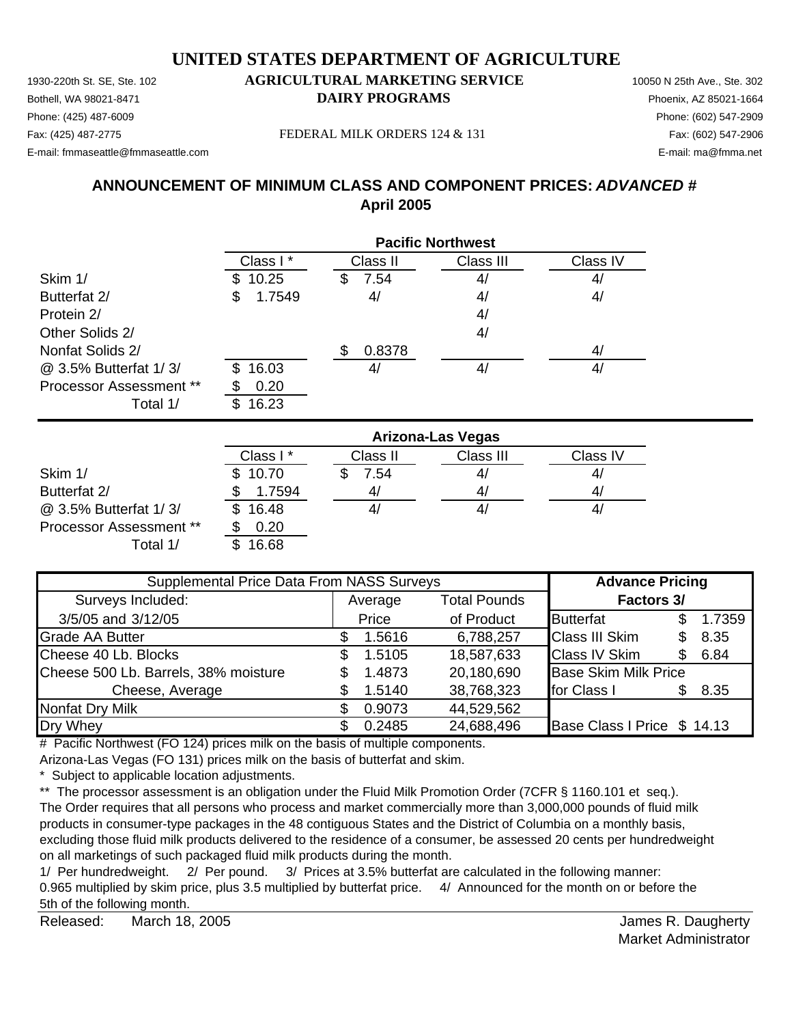Bothell, WA 98021-8471 **DAIRY PROGRAMS** Phoenix, AZ 85021-1664

# Phone: (425) 487-6009 Phone: (602) 547-2909

E-mail: fmmaseattle@fmmaseattle.com E-mail: ma@fmma.net

Fax: (425) 487-2775 Fax: (602) 547-2906 FEDERAL MILK ORDERS 124 & 131

# **ANNOUNCEMENT OF MINIMUM CLASS AND COMPONENT PRICES:** *ADVANCED #* **April 2005**

|                         | <b>Pacific Northwest</b> |            |           |          |  |
|-------------------------|--------------------------|------------|-----------|----------|--|
|                         | Class I*                 | Class II   | Class III | Class IV |  |
| Skim 1/                 | 10.25                    | 7.54<br>\$ | 4/        | 4/       |  |
| Butterfat 2/            | 1.7549<br>\$             | 4/         | 4/        | 4/       |  |
| Protein 2/              |                          |            | 4/        |          |  |
| Other Solids 2/         |                          |            | 4/        |          |  |
| Nonfat Solids 2/        |                          | 0.8378     |           | 4/       |  |
| @ 3.5% Butterfat 1/3/   | 16.03<br>\$.             | 41         | 4/        | 4/       |  |
| Processor Assessment ** | 0.20                     |            |           |          |  |
| Total 1/                | 16.23<br>S               |            |           |          |  |

|                                | <b>Arizona-Las Vegas</b> |          |           |          |  |
|--------------------------------|--------------------------|----------|-----------|----------|--|
|                                | Class I*                 | Class II | Class III | Class IV |  |
| Skim 1/                        | \$10.70                  | 7.54     | 4/        | 4/       |  |
| Butterfat 2/                   | 1.7594                   | 4/       | 41        | 4/       |  |
| @ 3.5% Butterfat 1/3/          | \$16.48                  |          | 4,        | 4,       |  |
| <b>Processor Assessment **</b> | 0.20                     |          |           |          |  |
| Total 1/                       | 16.68                    |          |           |          |  |

| Supplemental Price Data From NASS Surveys |                                |        |                   | <b>Advance Pricing</b>      |     |        |
|-------------------------------------------|--------------------------------|--------|-------------------|-----------------------------|-----|--------|
| Surveys Included:                         | <b>Total Pounds</b><br>Average |        | <b>Factors 3/</b> |                             |     |        |
| 3/5/05 and 3/12/05                        |                                | Price  | of Product        | <b>Butterfat</b>            |     | 1.7359 |
| <b>Grade AA Butter</b>                    |                                | 1.5616 | 6,788,257         | <b>Class III Skim</b>       | \$. | 8.35   |
| Cheese 40 Lb. Blocks                      | S                              | 1.5105 | 18,587,633        | <b>Class IV Skim</b>        | \$. | 6.84   |
| Cheese 500 Lb. Barrels, 38% moisture      |                                | 1.4873 | 20,180,690        | <b>Base Skim Milk Price</b> |     |        |
| Cheese, Average                           |                                | 1.5140 | 38,768,323        | for Class I                 |     | 8.35   |
| <b>Nonfat Dry Milk</b>                    |                                | 0.9073 | 44,529,562        |                             |     |        |
| Dry Whey                                  |                                | 0.2485 | 24,688,496        | Base Class I Price \$ 14.13 |     |        |

# Pacific Northwest (FO 124) prices milk on the basis of multiple components.

Arizona-Las Vegas (FO 131) prices milk on the basis of butterfat and skim.

\* Subject to applicable location adjustments.

\*\* The processor assessment is an obligation under the Fluid Milk Promotion Order (7CFR § 1160.101 et seq.). The Order requires that all persons who process and market commercially more than 3,000,000 pounds of fluid milk products in consumer-type packages in the 48 contiguous States and the District of Columbia on a monthly basis, excluding those fluid milk products delivered to the residence of a consumer, be assessed 20 cents per hundredweight on all marketings of such packaged fluid milk products during the month.

1/ Per hundredweight. 2/ Per pound. 3/ Prices at 3.5% butterfat are calculated in the following manner: 0.965 multiplied by skim price, plus 3.5 multiplied by butterfat price. 4/ Announced for the month on or before the 5th of the following month.

Released: March 18, 2005 **Matter and Strutter and Strutter and Strutter and Strutter Australian Control Control Community Control Control of the United Strutter Australian Control Community Control of the United Strutter A** March 18, 2005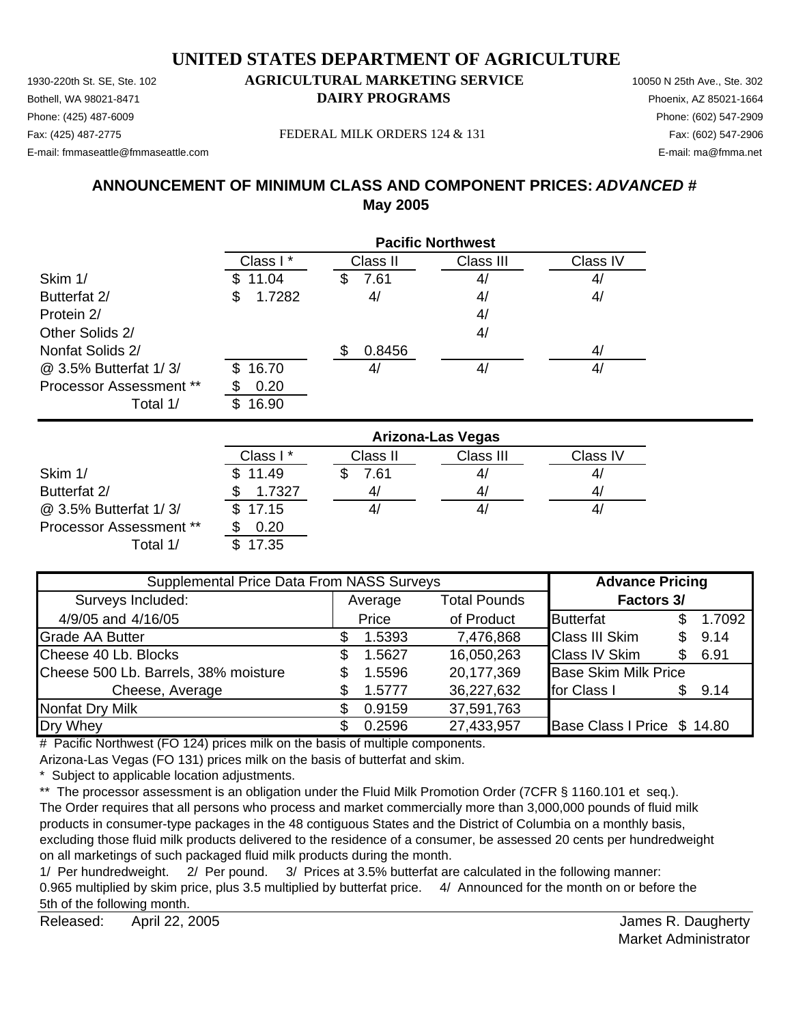1930-220th St. SE, Ste. 102 **AGRICULTURAL MARKETING SERVICE** 10050 N 25th Ave., Ste. 302 Bothell, WA 98021-8471 **DAIRY PROGRAMS** Phoenix, AZ 85021-1664 E-mail: fmmaseattle@fmmaseattle.com E-mail: ma@fmma.net

# Phone: (425) 487-6009 Phone: (602) 547-2909

Fax: (425) 487-2775 Fax: (602) 547-2906 FEDERAL MILK ORDERS 124 & 131

# **ANNOUNCEMENT OF MINIMUM CLASS AND COMPONENT PRICES:** *ADVANCED #* **May 2005**

|                                | <b>Pacific Northwest</b> |           |           |          |  |
|--------------------------------|--------------------------|-----------|-----------|----------|--|
|                                | Class I*                 | Class II  | Class III | Class IV |  |
| Skim 1/                        | 11.04                    | 7.61<br>Ж | 4/        | 4/       |  |
| Butterfat 2/                   | 1.7282<br>\$             | 4/        | 4/        | 4/       |  |
| Protein 2/                     |                          |           | 4/        |          |  |
| Other Solids 2/                |                          |           | 4/        |          |  |
| Nonfat Solids 2/               |                          | 0.8456    |           | 4/       |  |
| @ 3.5% Butterfat 1/3/          | 16.70<br>\$.             | 41        | 4/        | 4/       |  |
| <b>Processor Assessment **</b> | 0.20                     |           |           |          |  |
| Total 1/                       | 16.90                    |           |           |          |  |

|                                | Arizona-Las Vegas |          |           |          |  |
|--------------------------------|-------------------|----------|-----------|----------|--|
|                                | Class I*          | Class II | Class III | Class IV |  |
| Skim 1/                        | \$11.49           | 7.61     | 4/        | 41       |  |
| Butterfat 2/                   | 1.7327            | 4,       | 4,        | 41       |  |
| @ 3.5% Butterfat 1/3/          | \$17.15           |          | 4,        | 41       |  |
| <b>Processor Assessment **</b> | 0.20              |          |           |          |  |
| Total 1/                       | 17.35             |          |           |          |  |

| Supplemental Price Data From NASS Surveys |         |        |                     | <b>Advance Pricing</b>      |     |        |
|-------------------------------------------|---------|--------|---------------------|-----------------------------|-----|--------|
| Surveys Included:                         | Average |        | <b>Total Pounds</b> | <b>Factors 3/</b>           |     |        |
| 4/9/05 and 4/16/05                        |         | Price  | of Product          | <b>Butterfat</b>            |     | 1.7092 |
| <b>Grade AA Butter</b>                    |         | 1.5393 | 7,476,868           | <b>Class III Skim</b>       | \$. | 9.14   |
| Cheese 40 Lb. Blocks                      | S       | 1.5627 | 16,050,263          | <b>Class IV Skim</b>        | \$. | 6.91   |
| Cheese 500 Lb. Barrels, 38% moisture      | \$      | 1.5596 | 20,177,369          | <b>Base Skim Milk Price</b> |     |        |
| Cheese, Average                           |         | 1.5777 | 36,227,632          | for Class I                 | \$. | 9.14   |
| Nonfat Dry Milk                           |         | 0.9159 | 37,591,763          |                             |     |        |
| Dry Whey                                  |         | 0.2596 | 27,433,957          | Base Class I Price \$ 14.80 |     |        |

# Pacific Northwest (FO 124) prices milk on the basis of multiple components.

Arizona-Las Vegas (FO 131) prices milk on the basis of butterfat and skim.

\* Subject to applicable location adjustments.

\*\* The processor assessment is an obligation under the Fluid Milk Promotion Order (7CFR § 1160.101 et seq.). The Order requires that all persons who process and market commercially more than 3,000,000 pounds of fluid milk products in consumer-type packages in the 48 contiguous States and the District of Columbia on a monthly basis, excluding those fluid milk products delivered to the residence of a consumer, be assessed 20 cents per hundredweight on all marketings of such packaged fluid milk products during the month.

1/ Per hundredweight. 2/ Per pound. 3/ Prices at 3.5% butterfat are calculated in the following manner: 0.965 multiplied by skim price, plus 3.5 multiplied by butterfat price. 4/ Announced for the month on or before the 5th of the following month.

Released: April 22, 2005 **Released:** April 22, 2005 April 22, 2005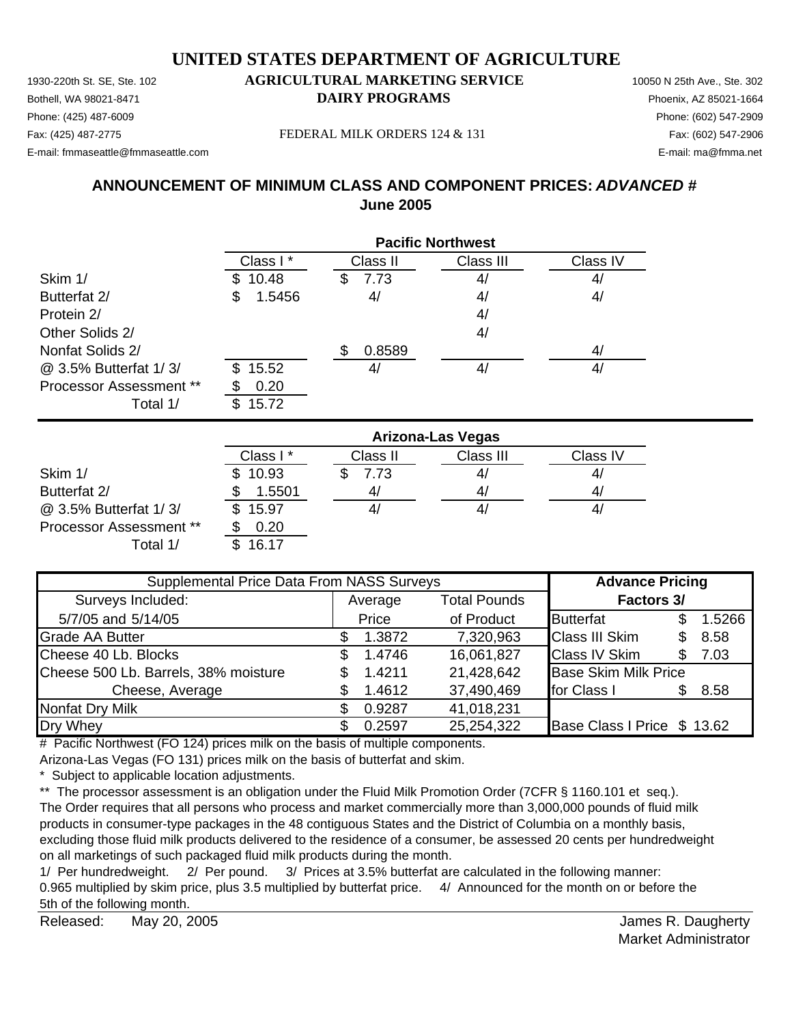Bothell, WA 98021-8471 **DAIRY PROGRAMS** Phoenix, AZ 85021-1664 Phone: (425) 487-6009 Phone: (602) 547-2909 Fax: (425) 487-2775 Fax: (602) 547-2906 FEDERAL MILK ORDERS 124 & 131

E-mail: fmmaseattle@fmmaseattle.com E-mail: ma@fmma.net

# **ANNOUNCEMENT OF MINIMUM CLASS AND COMPONENT PRICES:** *ADVANCED #* **June 2005**

|                                | <b>Pacific Northwest</b> |           |           |          |  |
|--------------------------------|--------------------------|-----------|-----------|----------|--|
|                                | Class I*                 | Class II  | Class III | Class IV |  |
| Skim 1/                        | 10.48                    | 7.73<br>S | 4/        | 4/       |  |
| Butterfat 2/                   | 1.5456<br>\$             | 4/        | 4/        | 4/       |  |
| Protein 2/                     |                          |           | 4/        |          |  |
| Other Solids 2/                |                          |           | 4/        |          |  |
| Nonfat Solids 2/               |                          | 0.8589    |           | 4/       |  |
| @ 3.5% Butterfat 1/3/          | 15.52<br>\$.             | 41        | 4/        | 4/       |  |
| <b>Processor Assessment **</b> | 0.20                     |           |           |          |  |
| Total 1/                       | 15.72                    |           |           |          |  |

|                                | <b>Arizona-Las Vegas</b> |          |           |          |  |
|--------------------------------|--------------------------|----------|-----------|----------|--|
|                                | Class I*                 | Class II | Class III | Class IV |  |
| Skim 1/                        | \$10.93                  | 7.73     | 41        | 4/       |  |
| Butterfat 2/                   | 1.5501                   | 4,       | 4/        | 4,       |  |
| @ 3.5% Butterfat 1/3/          | \$15.97                  | 41       | 4,        | 41       |  |
| <b>Processor Assessment **</b> | 0.20                     |          |           |          |  |
| Total 1/                       | 16.17                    |          |           |          |  |

| Supplemental Price Data From NASS Surveys |         |        |                     | <b>Advance Pricing</b>      |     |        |
|-------------------------------------------|---------|--------|---------------------|-----------------------------|-----|--------|
| Surveys Included:                         | Average |        | <b>Total Pounds</b> | <b>Factors 3/</b>           |     |        |
| 5/7/05 and 5/14/05                        |         | Price  | of Product          | <b>Butterfat</b>            |     | 1.5266 |
| <b>Grade AA Butter</b>                    |         | 1.3872 | 7,320,963           | <b>Class III Skim</b>       | \$. | 8.58   |
| Cheese 40 Lb. Blocks                      | S.      | 1.4746 | 16,061,827          | <b>Class IV Skim</b>        | \$. | 7.03   |
| Cheese 500 Lb. Barrels, 38% moisture      |         | 1.4211 | 21,428,642          | <b>Base Skim Milk Price</b> |     |        |
| Cheese, Average                           |         | 1.4612 | 37,490,469          | for Class I                 |     | 8.58   |
| <b>Nonfat Dry Milk</b>                    |         | 0.9287 | 41,018,231          |                             |     |        |
| Dry Whey                                  |         | 0.2597 | 25,254,322          | Base Class I Price \$ 13.62 |     |        |

# Pacific Northwest (FO 124) prices milk on the basis of multiple components.

Arizona-Las Vegas (FO 131) prices milk on the basis of butterfat and skim.

\* Subject to applicable location adjustments.

\*\* The processor assessment is an obligation under the Fluid Milk Promotion Order (7CFR § 1160.101 et seq.). The Order requires that all persons who process and market commercially more than 3,000,000 pounds of fluid milk products in consumer-type packages in the 48 contiguous States and the District of Columbia on a monthly basis, excluding those fluid milk products delivered to the residence of a consumer, be assessed 20 cents per hundredweight on all marketings of such packaged fluid milk products during the month.

1/ Per hundredweight. 2/ Per pound. 3/ Prices at 3.5% butterfat are calculated in the following manner: 0.965 multiplied by skim price, plus 3.5 multiplied by butterfat price. 4/ Announced for the month on or before the 5th of the following month.

Released: May 20, 2005 **Released:** May 20, 2005 May 20, 2005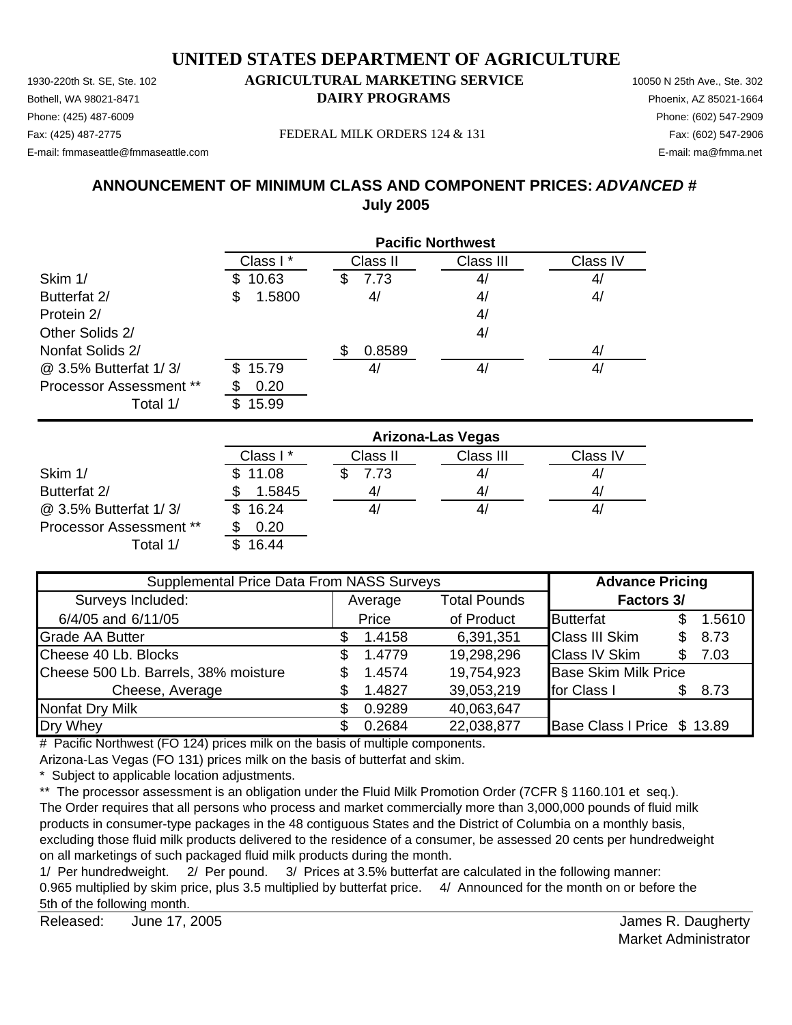1930-220th St. SE, Ste. 102 **AGRICULTURAL MARKETING SERVICE** 10050 N 25th Ave., Ste. 302 Bothell, WA 98021-8471 **DAIRY PROGRAMS** Phoenix, AZ 85021-1664 E-mail: fmmaseattle@fmmaseattle.com E-mail: ma@fmma.net

# Phone: (425) 487-6009 Phone: (602) 547-2909

Fax: (425) 487-2775 FEDERAL MILK ORDERS 124 & 131

# **ANNOUNCEMENT OF MINIMUM CLASS AND COMPONENT PRICES:** *ADVANCED #* **July 2005**

|                                |              | <b>Pacific Northwest</b> |           |          |  |  |  |
|--------------------------------|--------------|--------------------------|-----------|----------|--|--|--|
|                                | Class I*     | Class II                 | Class III | Class IV |  |  |  |
| Skim 1/                        | 10.63        | 7.73<br>\$               | 4/        | 4/       |  |  |  |
| Butterfat 2/                   | 1.5800<br>S  | 4/                       | 4/        | 4/       |  |  |  |
| Protein 2/                     |              |                          | 4/        |          |  |  |  |
| Other Solids 2/                |              |                          | 4/        |          |  |  |  |
| Nonfat Solids 2/               |              | 0.8589                   |           | 4/       |  |  |  |
| @ 3.5% Butterfat 1/3/          | 15.79<br>\$. | 41                       | 4/        | 4/       |  |  |  |
| <b>Processor Assessment **</b> | 0.20         |                          |           |          |  |  |  |
| Total 1/                       | 15.99        |                          |           |          |  |  |  |

|                                | <b>Arizona-Las Vegas</b> |          |           |          |  |
|--------------------------------|--------------------------|----------|-----------|----------|--|
|                                | Class I*                 | Class II | Class III | Class IV |  |
| Skim 1/                        | \$11.08                  | 7.73     | 41        | 4/       |  |
| Butterfat 2/                   | 1.5845                   | 4,       | 4/        | 4/       |  |
| @ 3.5% Butterfat 1/3/          | 16.24                    |          | 4,        | 41       |  |
| <b>Processor Assessment **</b> | 0.20                     |          |           |          |  |
| Total 1/                       | 16.44                    |          |           |          |  |

| Supplemental Price Data From NASS Surveys |    |         |                     | <b>Advance Pricing</b>      |     |        |
|-------------------------------------------|----|---------|---------------------|-----------------------------|-----|--------|
| Surveys Included:                         |    | Average | <b>Total Pounds</b> | <b>Factors 3/</b>           |     |        |
| 6/4/05 and 6/11/05                        |    | Price   | of Product          | <b>Butterfat</b>            |     | 1.5610 |
| <b>Grade AA Butter</b>                    |    | 1.4158  | 6,391,351           | <b>Class III Skim</b>       |     | 8.73   |
| Cheese 40 Lb. Blocks                      | \$ | 1.4779  | 19,298,296          | <b>Class IV Skim</b>        | \$. | 7.03   |
| Cheese 500 Lb. Barrels, 38% moisture      |    | 1.4574  | 19,754,923          | <b>Base Skim Milk Price</b> |     |        |
| Cheese, Average                           |    | 1.4827  | 39,053,219          | for Class I                 |     | 8.73   |
| <b>Nonfat Dry Milk</b>                    |    | 0.9289  | 40,063,647          |                             |     |        |
| Dry Whey                                  |    | 0.2684  | 22,038,877          | Base Class I Price \$ 13.89 |     |        |

# Pacific Northwest (FO 124) prices milk on the basis of multiple components.

Arizona-Las Vegas (FO 131) prices milk on the basis of butterfat and skim.

\* Subject to applicable location adjustments.

\*\* The processor assessment is an obligation under the Fluid Milk Promotion Order (7CFR § 1160.101 et seq.). The Order requires that all persons who process and market commercially more than 3,000,000 pounds of fluid milk products in consumer-type packages in the 48 contiguous States and the District of Columbia on a monthly basis, excluding those fluid milk products delivered to the residence of a consumer, be assessed 20 cents per hundredweight on all marketings of such packaged fluid milk products during the month.

1/ Per hundredweight. 2/ Per pound. 3/ Prices at 3.5% butterfat are calculated in the following manner: 0.965 multiplied by skim price, plus 3.5 multiplied by butterfat price. 4/ Announced for the month on or before the 5th of the following month.

Released: James R. Daugherty June 17, 2005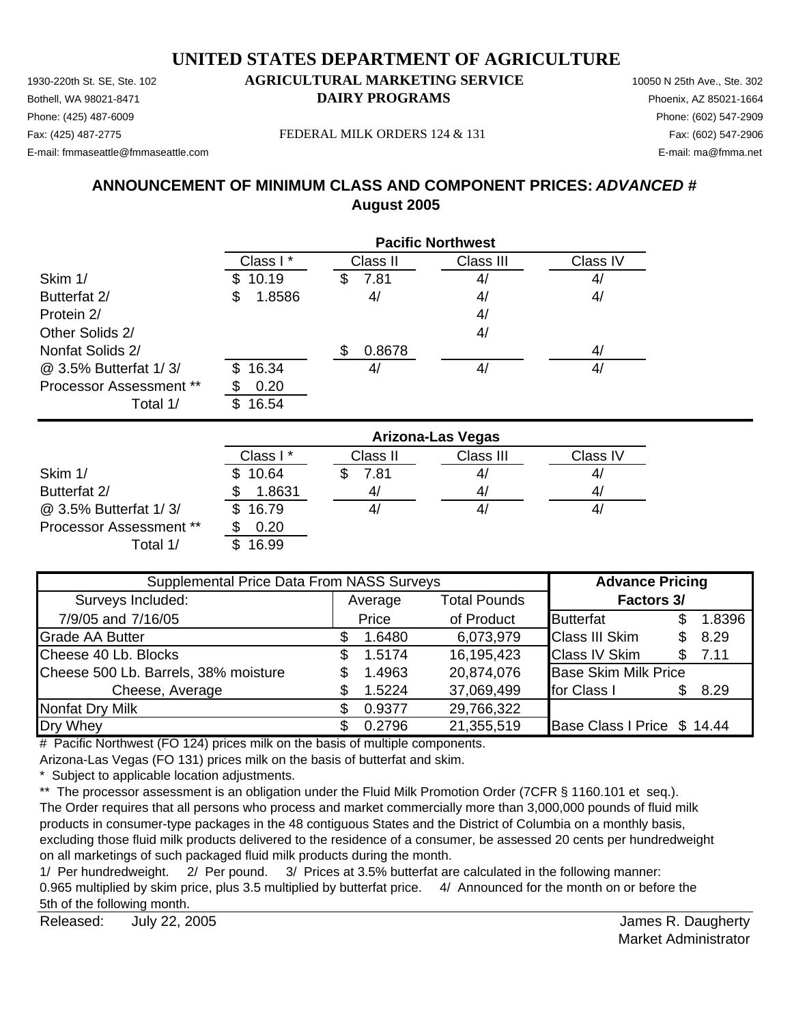Bothell, WA 98021-8471 **DAIRY PROGRAMS** Phoenix, AZ 85021-1664 Phone: (425) 487-6009 Phone: (602) 547-2909 Fax: (425) 487-2775 FEDERAL MILK ORDERS 124 & 131 Fax: (602) 547-2906

E-mail: fmmaseattle@fmmaseattle.com E-mail: ma@fmma.net

# **ANNOUNCEMENT OF MINIMUM CLASS AND COMPONENT PRICES:** *ADVANCED #* **August 2005**

|                                | <b>Pacific Northwest</b> |           |           |          |  |
|--------------------------------|--------------------------|-----------|-----------|----------|--|
|                                | Class I*                 | Class II  | Class III | Class IV |  |
| Skim 1/                        | 10.19                    | 7.81<br>S | 4/        | 4/       |  |
| Butterfat 2/                   | 1.8586<br>S              | 4/        | 4/        | 4/       |  |
| Protein 2/                     |                          |           | 4/        |          |  |
| Other Solids 2/                |                          |           | 4/        |          |  |
| Nonfat Solids 2/               |                          | 0.8678    |           | 4/       |  |
| @ 3.5% Butterfat 1/3/          | 16.34<br>\$.             | 4         | 4/        | 4/       |  |
| <b>Processor Assessment **</b> | 0.20                     |           |           |          |  |
| Total 1/                       | 16.54                    |           |           |          |  |

|                                | <b>Arizona-Las Vegas</b> |          |           |          |  |
|--------------------------------|--------------------------|----------|-----------|----------|--|
|                                | Class I*                 | Class II | Class III | Class IV |  |
| Skim 1/                        | \$10.64                  | 7.81     | 41        | 4/       |  |
| Butterfat 2/                   | 1.8631                   | 4/       | 4/        | 4/       |  |
| @ 3.5% Butterfat 1/3/          | \$16.79                  |          | 4,        | 41       |  |
| <b>Processor Assessment **</b> | 0.20                     |          |           |          |  |
| Total 1/                       | 16.99                    |          |           |          |  |

| Supplemental Price Data From NASS Surveys |    |         |                     | <b>Advance Pricing</b>      |     |        |
|-------------------------------------------|----|---------|---------------------|-----------------------------|-----|--------|
| Surveys Included:                         |    | Average | <b>Total Pounds</b> | <b>Factors 3/</b>           |     |        |
| 7/9/05 and 7/16/05                        |    | Price   | of Product          | <b>Butterfat</b>            |     | 1.8396 |
| <b>Grade AA Butter</b>                    |    | 1.6480  | 6,073,979           | <b>Class III Skim</b>       |     | 8.29   |
| Cheese 40 Lb. Blocks                      | S. | 1.5174  | 16,195,423          | <b>Class IV Skim</b>        | \$. | 7.11   |
| Cheese 500 Lb. Barrels, 38% moisture      |    | 1.4963  | 20,874,076          | <b>Base Skim Milk Price</b> |     |        |
| Cheese, Average                           |    | 1.5224  | 37,069,499          | for Class I                 |     | 8.29   |
| <b>Nonfat Dry Milk</b>                    |    | 0.9377  | 29,766,322          |                             |     |        |
| Dry Whey                                  |    | 0.2796  | 21,355,519          | Base Class I Price \$ 14.44 |     |        |

# Pacific Northwest (FO 124) prices milk on the basis of multiple components.

Arizona-Las Vegas (FO 131) prices milk on the basis of butterfat and skim.

\* Subject to applicable location adjustments.

\*\* The processor assessment is an obligation under the Fluid Milk Promotion Order (7CFR § 1160.101 et seq.). The Order requires that all persons who process and market commercially more than 3,000,000 pounds of fluid milk products in consumer-type packages in the 48 contiguous States and the District of Columbia on a monthly basis, excluding those fluid milk products delivered to the residence of a consumer, be assessed 20 cents per hundredweight on all marketings of such packaged fluid milk products during the month.

1/ Per hundredweight. 2/ Per pound. 3/ Prices at 3.5% butterfat are calculated in the following manner: 0.965 multiplied by skim price, plus 3.5 multiplied by butterfat price. 4/ Announced for the month on or before the 5th of the following month.

Released: James R. Daugherty July 22, 2005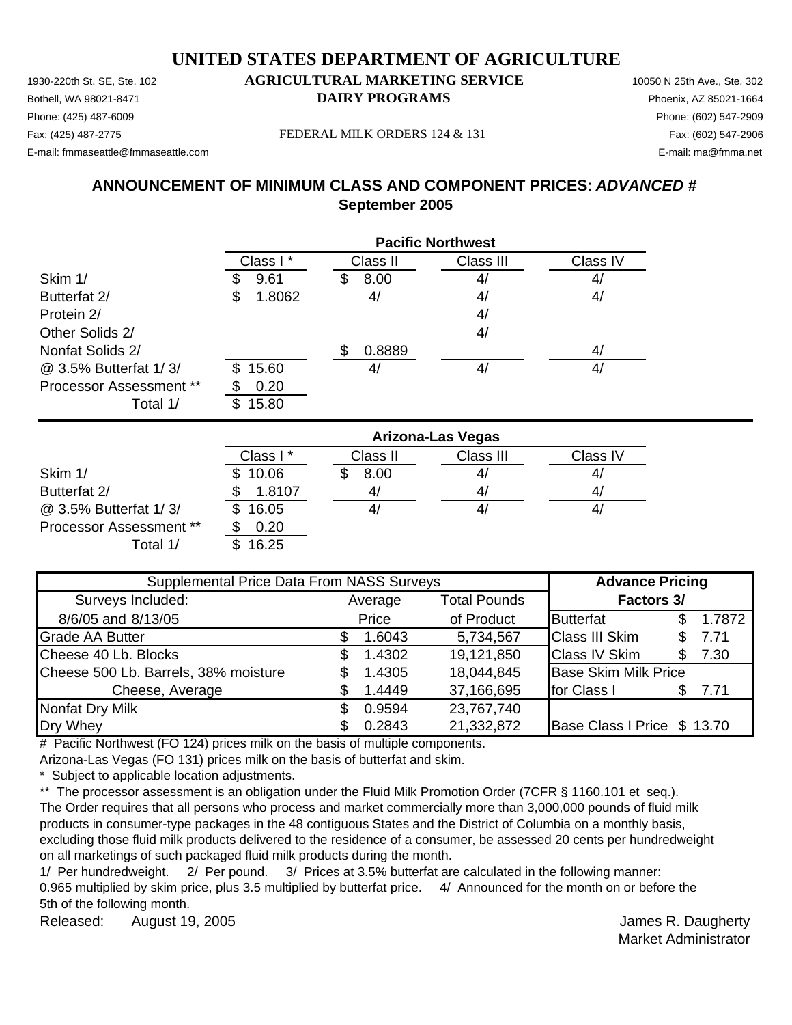Bothell, WA 98021-8471 **DAIRY PROGRAMS** Phoenix, AZ 85021-1664 Phone: (425) 487-6009 Phone: (602) 547-2909 Fax: (425) 487-2775 Fax: (602) 547-2906 FEDERAL MILK ORDERS 124 & 131

E-mail: fmmaseattle@fmmaseattle.com E-mail: ma@fmma.net

# **ANNOUNCEMENT OF MINIMUM CLASS AND COMPONENT PRICES:** *ADVANCED #* **September 2005**

|                                |     | <b>Pacific Northwest</b> |   |          |           |          |  |
|--------------------------------|-----|--------------------------|---|----------|-----------|----------|--|
|                                |     | Class I*                 |   | Class II | Class III | Class IV |  |
| Skim 1/                        |     | 9.61                     | S | 8.00     | 4/        | 4/       |  |
| Butterfat 2/                   | \$  | 1.8062                   |   | 4/       | 4/        | 4/       |  |
| Protein 2/                     |     |                          |   |          | 4/        |          |  |
| Other Solids 2/                |     |                          |   |          | 4/        |          |  |
| Nonfat Solids 2/               |     |                          |   | 0.8889   |           | 4/       |  |
| @ 3.5% Butterfat 1/3/          | \$. | 15.60                    |   | 41       | 4/        | 4/       |  |
| <b>Processor Assessment **</b> |     | 0.20                     |   |          |           |          |  |
| Total 1/                       | \$. | 15.80                    |   |          |           |          |  |

|                                | <b>Arizona-Las Vegas</b> |          |           |          |  |  |
|--------------------------------|--------------------------|----------|-----------|----------|--|--|
|                                | Class I*                 | Class II | Class III | Class IV |  |  |
| Skim 1/                        | 10.06                    | 8.00     | 41        | 4/       |  |  |
| Butterfat 2/                   | 1.8107                   | 4        | 41        | 4,       |  |  |
| @ 3.5% Butterfat 1/3/          | 16.05                    | 41       | 4/        | 41       |  |  |
| <b>Processor Assessment **</b> | 0.20                     |          |           |          |  |  |
| Total 1/                       | 16.25                    |          |           |          |  |  |

| Supplemental Price Data From NASS Surveys |    |         |                     | <b>Advance Pricing</b>      |     |        |
|-------------------------------------------|----|---------|---------------------|-----------------------------|-----|--------|
| Surveys Included:                         |    | Average | <b>Total Pounds</b> | <b>Factors 3/</b>           |     |        |
| 8/6/05 and 8/13/05                        |    | Price   | of Product          | <b>Butterfat</b>            | \$. | 1.7872 |
| <b>Grade AA Butter</b>                    |    | 1.6043  | 5,734,567           | <b>Class III Skim</b>       | \$. | 7.71   |
| Cheese 40 Lb. Blocks                      | S. | 1.4302  | 19,121,850          | <b>Class IV Skim</b>        | \$. | 7.30   |
| Cheese 500 Lb. Barrels, 38% moisture      |    | 1.4305  | 18,044,845          | <b>Base Skim Milk Price</b> |     |        |
| Cheese, Average                           |    | 1.4449  | 37,166,695          | for Class I                 | S.  | 7.71   |
| <b>Nonfat Dry Milk</b>                    |    | 0.9594  | 23,767,740          |                             |     |        |
| Dry Whey                                  |    | 0.2843  | 21,332,872          | Base Class I Price \$ 13.70 |     |        |

# Pacific Northwest (FO 124) prices milk on the basis of multiple components.

Arizona-Las Vegas (FO 131) prices milk on the basis of butterfat and skim.

\* Subject to applicable location adjustments.

\*\* The processor assessment is an obligation under the Fluid Milk Promotion Order (7CFR § 1160.101 et seq.). The Order requires that all persons who process and market commercially more than 3,000,000 pounds of fluid milk products in consumer-type packages in the 48 contiguous States and the District of Columbia on a monthly basis, excluding those fluid milk products delivered to the residence of a consumer, be assessed 20 cents per hundredweight on all marketings of such packaged fluid milk products during the month.

1/ Per hundredweight. 2/ Per pound. 3/ Prices at 3.5% butterfat are calculated in the following manner: 0.965 multiplied by skim price, plus 3.5 multiplied by butterfat price. 4/ Announced for the month on or before the 5th of the following month.

Released: James R. Daugherty August 19, 2005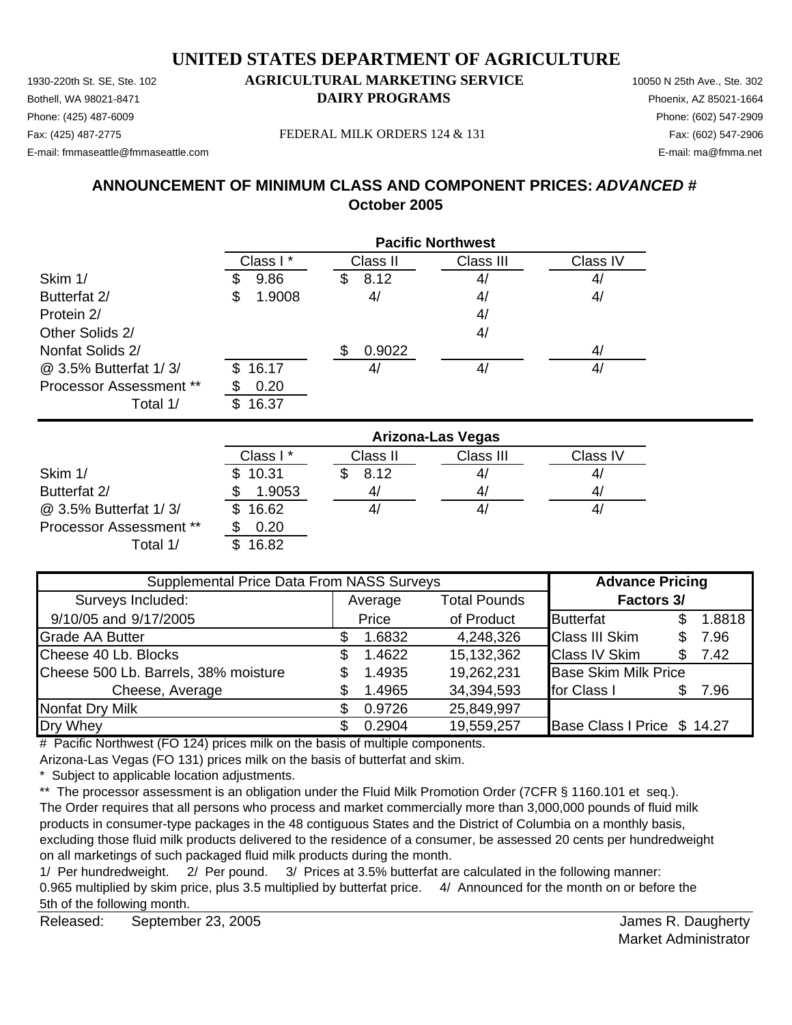1930-220th St. SE, Ste. 102 **AGRICULTURAL MARKETING SERVICE** 10050 N 25th Ave., Ste. 302 Bothell, WA 98021-8471 **DAIRY PROGRAMS** Phoenix, AZ 85021-1664 Phone: (425) 487-6009 Phone: (602) 547-2909 Fax: (425) 487-2775 Fax: (602) 547-2906 FEDERAL MILK ORDERS 124 & 131

E-mail: fmmaseattle@fmmaseattle.com E-mail: ma@fmma.net

# **ANNOUNCEMENT OF MINIMUM CLASS AND COMPONENT PRICES:** *ADVANCED #*

**October 2005**

|                                | <b>Pacific Northwest</b> |              |                |          |  |
|--------------------------------|--------------------------|--------------|----------------|----------|--|
|                                | Class I*                 | Class II     | Class III      | Class IV |  |
| Skim 1/                        | 9.86<br>S                | 8.12<br>S    | 4/             | 4/       |  |
| Butterfat 2/                   | 1.9008<br>\$             | 4/           | 4 <sub>l</sub> | 4/       |  |
| Protein 2/                     |                          |              | 4/             |          |  |
| Other Solids 2/                |                          |              | 4/             |          |  |
| Nonfat Solids 2/               |                          | 0.9022<br>\$ |                | 4/       |  |
| @ 3.5% Butterfat 1/3/          | 16.17<br>\$.             | 4/           | 4/             | 4/       |  |
| <b>Processor Assessment **</b> | 0.20                     |              |                |          |  |
| Total 1/                       | 16.37<br>S               |              |                |          |  |

|                                | <b>Arizona-Las Vegas</b> |                |           |          |  |  |
|--------------------------------|--------------------------|----------------|-----------|----------|--|--|
|                                | Class I*                 | Class II       | Class III | Class IV |  |  |
| Skim 1/                        | \$10.31                  | 8.12           | 41        | 4,       |  |  |
| Butterfat 2/                   | 1.9053                   | 4 <sub>l</sub> | 41        | 4,       |  |  |
| @ 3.5% Butterfat 1/3/          | 16.62                    |                | 4,        | 4,       |  |  |
| <b>Processor Assessment **</b> | 0.20                     |                |           |          |  |  |
| Total 1/                       | 16.82                    |                |           |          |  |  |

| Supplemental Price Data From NASS Surveys | <b>Advance Pricing</b>         |        |            |                             |            |        |  |  |
|-------------------------------------------|--------------------------------|--------|------------|-----------------------------|------------|--------|--|--|
| Surveys Included:                         | <b>Total Pounds</b><br>Average |        |            |                             | Factors 3/ |        |  |  |
| 9/10/05 and 9/17/2005                     |                                | Price  | of Product | <b>Butterfat</b>            |            | 1.8818 |  |  |
| <b>Grade AA Butter</b>                    |                                | 1.6832 | 4,248,326  | <b>Class III Skim</b>       |            | 7.96   |  |  |
| Cheese 40 Lb. Blocks                      | S.                             | 1.4622 | 15,132,362 | <b>Class IV Skim</b>        | \$.        | 7.42   |  |  |
| Cheese 500 Lb. Barrels, 38% moisture      |                                | 1.4935 | 19,262,231 | <b>Base Skim Milk Price</b> |            |        |  |  |
| Cheese, Average                           |                                | 1.4965 | 34,394,593 | for Class I                 |            | 7.96   |  |  |
| <b>Nonfat Dry Milk</b>                    |                                | 0.9726 | 25,849,997 |                             |            |        |  |  |
| Dry Whey                                  |                                | 0.2904 | 19,559,257 | Base Class I Price \$ 14.27 |            |        |  |  |

# Pacific Northwest (FO 124) prices milk on the basis of multiple components.

Arizona-Las Vegas (FO 131) prices milk on the basis of butterfat and skim.

\* Subject to applicable location adjustments.

\*\* The processor assessment is an obligation under the Fluid Milk Promotion Order (7CFR § 1160.101 et seq.). The Order requires that all persons who process and market commercially more than 3,000,000 pounds of fluid milk products in consumer-type packages in the 48 contiguous States and the District of Columbia on a monthly basis, excluding those fluid milk products delivered to the residence of a consumer, be assessed 20 cents per hundredweight on all marketings of such packaged fluid milk products during the month.

1/ Per hundredweight. 2/ Per pound. 3/ Prices at 3.5% butterfat are calculated in the following manner: 0.965 multiplied by skim price, plus 3.5 multiplied by butterfat price. 4/ Announced for the month on or before the 5th of the following month.

Released: James R. Daugherty September 23, 2005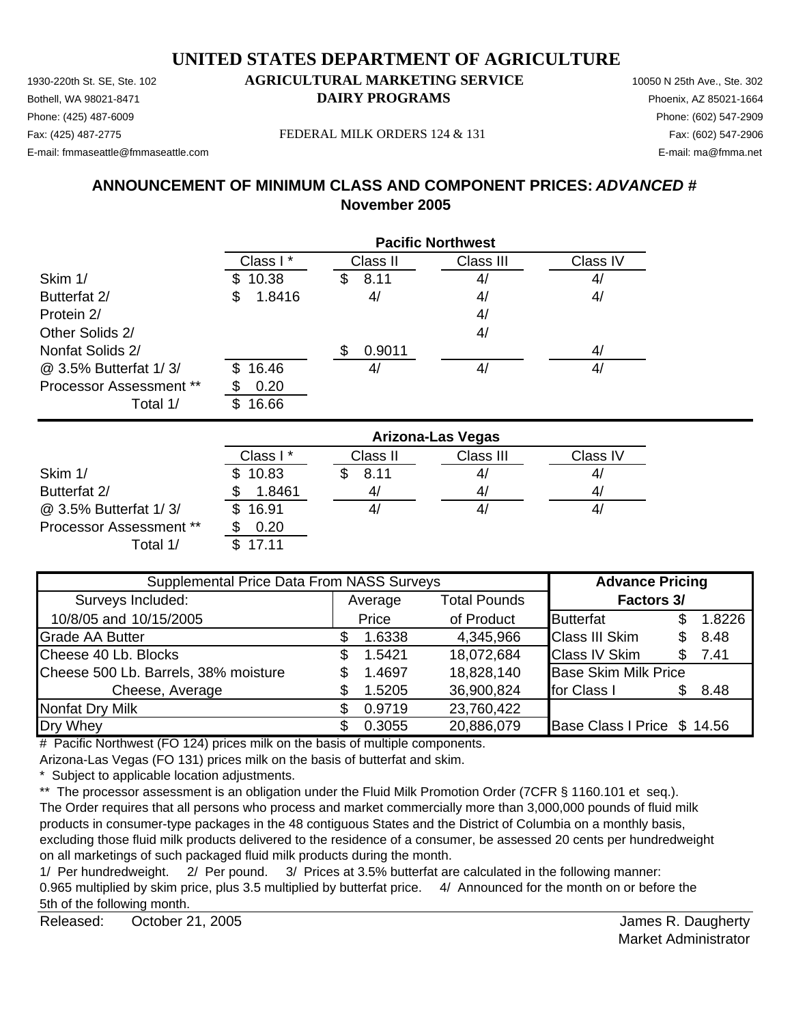Bothell, WA 98021-8471 **DAIRY PROGRAMS** Phoenix, AZ 85021-1664 Phone: (425) 487-6009 Phone: (602) 547-2909

### Fax: (425) 487-2775 FEDERAL MILK ORDERS 124 & 131

E-mail: fmmaseattle@fmmaseattle.com E-mail: ma@fmma.net

# **ANNOUNCEMENT OF MINIMUM CLASS AND COMPONENT PRICES:** *ADVANCED #* **November 2005**

|                                |             | <b>Pacific Northwest</b> |           |          |  |  |  |
|--------------------------------|-------------|--------------------------|-----------|----------|--|--|--|
|                                | Class I*    | Class II                 | Class III | Class IV |  |  |  |
| Skim 1/                        | 10.38       | 8.11<br>\$               | 4/        | 4/       |  |  |  |
| Butterfat 2/                   | 1.8416<br>S | 4/                       | 4/        | 4/       |  |  |  |
| Protein 2/                     |             |                          | 4/        |          |  |  |  |
| Other Solids 2/                |             |                          | 4/        |          |  |  |  |
| Nonfat Solids 2/               |             | 0.9011<br>S.             |           | 4/       |  |  |  |
| @ 3.5% Butterfat 1/3/          | 16.46<br>S. | 41                       | 4/        | 4/       |  |  |  |
| <b>Processor Assessment **</b> | 0.20        |                          |           |          |  |  |  |
| Total 1/                       | 16.66<br>S. |                          |           |          |  |  |  |

|                                | <b>Arizona-Las Vegas</b> |          |           |          |  |  |
|--------------------------------|--------------------------|----------|-----------|----------|--|--|
|                                | Class I*                 | Class II | Class III | Class IV |  |  |
| Skim 1/                        | 10.83                    | 8.11     | 41        | 4/       |  |  |
| Butterfat 2/                   | 1.8461                   |          | 41        | 4/       |  |  |
| @ 3.5% Butterfat 1/3/          | 16.91<br>\$.             |          | 41        | 41       |  |  |
| <b>Processor Assessment **</b> | 0.20                     |          |           |          |  |  |
| Total 1/                       | 17 11                    |          |           |          |  |  |

| Supplemental Price Data From NASS Surveys |    |         |                     | <b>Advance Pricing</b>      |     |        |
|-------------------------------------------|----|---------|---------------------|-----------------------------|-----|--------|
| Surveys Included:                         |    | Average | <b>Total Pounds</b> | <b>Factors 3/</b>           |     |        |
| 10/8/05 and 10/15/2005                    |    | Price   | of Product          | <b>Butterfat</b>            |     | 1.8226 |
| <b>Grade AA Butter</b>                    |    | 1.6338  | 4,345,966           | <b>Class III Skim</b>       | \$. | 8.48   |
| Cheese 40 Lb. Blocks                      | \$ | 1.5421  | 18,072,684          | <b>Class IV Skim</b>        | \$. | 7.41   |
| Cheese 500 Lb. Barrels, 38% moisture      |    | 1.4697  | 18,828,140          | <b>Base Skim Milk Price</b> |     |        |
| Cheese, Average                           |    | 1.5205  | 36,900,824          | for Class I                 |     | 8.48   |
| <b>Nonfat Dry Milk</b>                    |    | 0.9719  | 23,760,422          |                             |     |        |
| Dry Whey                                  |    | 0.3055  | 20,886,079          | Base Class I Price \$ 14.56 |     |        |

# Pacific Northwest (FO 124) prices milk on the basis of multiple components.

Arizona-Las Vegas (FO 131) prices milk on the basis of butterfat and skim.

\* Subject to applicable location adjustments.

\*\* The processor assessment is an obligation under the Fluid Milk Promotion Order (7CFR § 1160.101 et seq.). The Order requires that all persons who process and market commercially more than 3,000,000 pounds of fluid milk products in consumer-type packages in the 48 contiguous States and the District of Columbia on a monthly basis, excluding those fluid milk products delivered to the residence of a consumer, be assessed 20 cents per hundredweight on all marketings of such packaged fluid milk products during the month.

1/ Per hundredweight. 2/ Per pound. 3/ Prices at 3.5% butterfat are calculated in the following manner: 0.965 multiplied by skim price, plus 3.5 multiplied by butterfat price. 4/ Announced for the month on or before the 5th of the following month.

Released: October 21, 2005 **Accord Provident Accord Provident** Accord Provident Accord Provident Accord Provident October 21, 2005